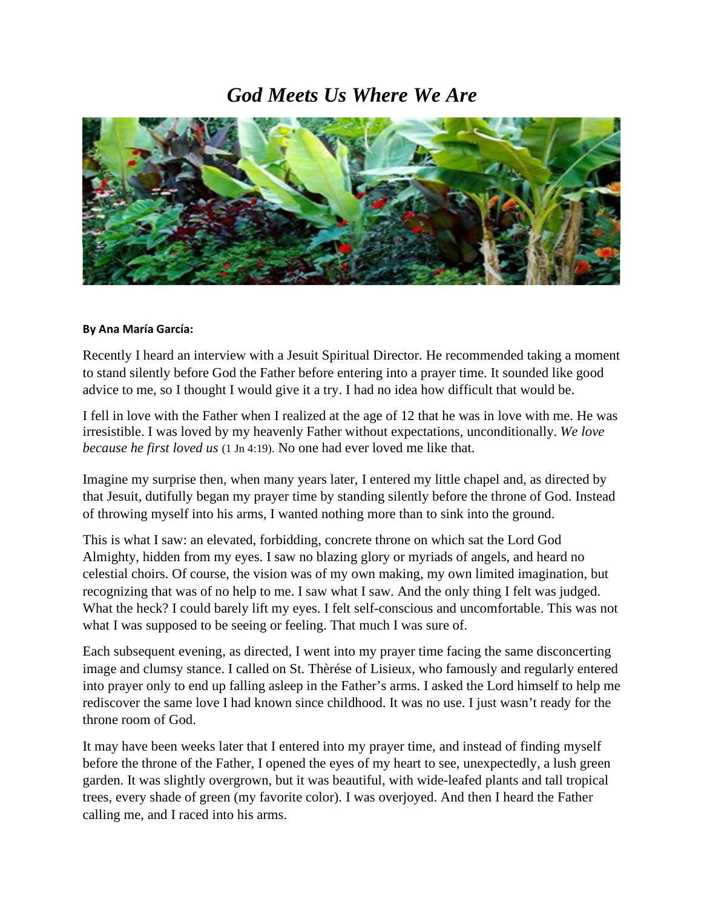## *God Meets Us Where We Are*



## **By Ana María García:**

Recently I heard an interview with a Jesuit Spiritual Director. He recommended taking a moment to stand silently before God the Father before entering into a prayer time. It sounded like good advice to me, so I thought I would give it a try. I had no idea how difficult that would be.

I fell in love with the Father when I realized at the age of 12 that he was in love with me. He was irresistible. I was loved by my heavenly Father without expectations, unconditionally. *We love because he first loved us* (1 Jn 4:19). No one had ever loved me like that.

Imagine my surprise then, when many years later, I entered my little chapel and, as directed by that Jesuit, dutifully began my prayer time by standing silently before the throne of God. Instead of throwing myself into his arms, I wanted nothing more than to sink into the ground.

This is what I saw: an elevated, forbidding, concrete throne on which sat the Lord God Almighty, hidden from my eyes. I saw no blazing glory or myriads of angels, and heard no celestial choirs. Of course, the vision was of my own making, my own limited imagination, but recognizing that was of no help to me. I saw what I saw. And the only thing I felt was judged. What the heck? I could barely lift my eyes. I felt self-conscious and uncomfortable. This was not what I was supposed to be seeing or feeling. That much I was sure of.

Each subsequent evening, as directed, I went into my prayer time facing the same disconcerting image and clumsy stance. I called on St. Thèrése of Lisieux, who famously and regularly entered into prayer only to end up falling asleep in the Father's arms. I asked the Lord himself to help me rediscover the same love I had known since childhood. It was no use. I just wasn't ready for the throne room of God.

It may have been weeks later that I entered into my prayer time, and instead of finding myself before the throne of the Father, I opened the eyes of my heart to see, unexpectedly, a lush green garden. It was slightly overgrown, but it was beautiful, with wide-leafed plants and tall tropical trees, every shade of green (my favorite color). I was overjoyed. And then I heard the Father calling me, and I raced into his arms.